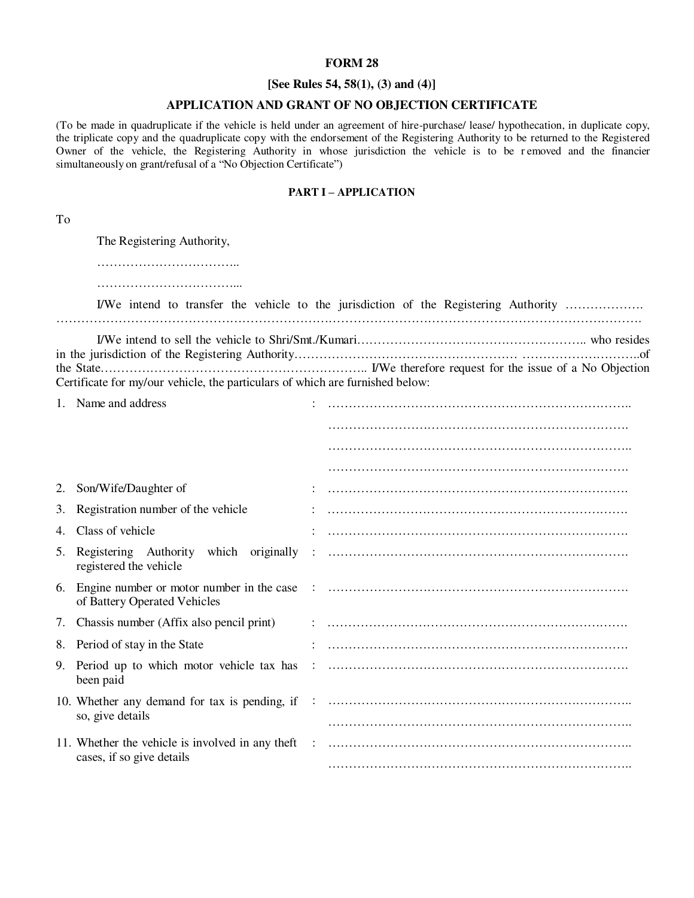#### **FORM 28**

## **[See Rules 54, 58(1), (3) and (4)]**

### **APPLICATION AND GRANT OF NO OBJECTION CERTIFICATE**

(To be made in quadruplicate if the vehicle is held under an agreement of hire-purchase/ lease/ hypothecation, in duplicate copy, the triplicate copy and the quadruplicate copy with the endorsement of the Registering Authority to be returned to the Registered Owner of the vehicle, the Registering Authority in whose jurisdiction the vehicle is to be removed and the financier simultaneously on grant/refusal of a "No Objection Certificate")

#### **PART I – APPLICATION**

To

|    | The Registering Authority,                                                    |                                                                                      |
|----|-------------------------------------------------------------------------------|--------------------------------------------------------------------------------------|
|    |                                                                               | I/We intend to transfer the vehicle to the jurisdiction of the Registering Authority |
|    |                                                                               | of                                                                                   |
|    | Certificate for my/our vehicle, the particulars of which are furnished below: |                                                                                      |
|    | 1. Name and address                                                           |                                                                                      |
|    |                                                                               |                                                                                      |
|    |                                                                               |                                                                                      |
|    |                                                                               |                                                                                      |
|    | 2. Son/Wife/Daughter of                                                       |                                                                                      |
| 3. | Registration number of the vehicle                                            |                                                                                      |
| 4. | Class of vehicle                                                              |                                                                                      |
| 5. | Registering Authority which originally<br>registered the vehicle              |                                                                                      |
| 6. | of Battery Operated Vehicles                                                  |                                                                                      |
|    | 7. Chassis number (Affix also pencil print)                                   |                                                                                      |
|    | 8. Period of stay in the State                                                |                                                                                      |
| 9. | Period up to which motor vehicle tax has<br>been paid                         |                                                                                      |
|    | so, give details                                                              |                                                                                      |
|    | cases, if so give details                                                     |                                                                                      |
|    |                                                                               |                                                                                      |